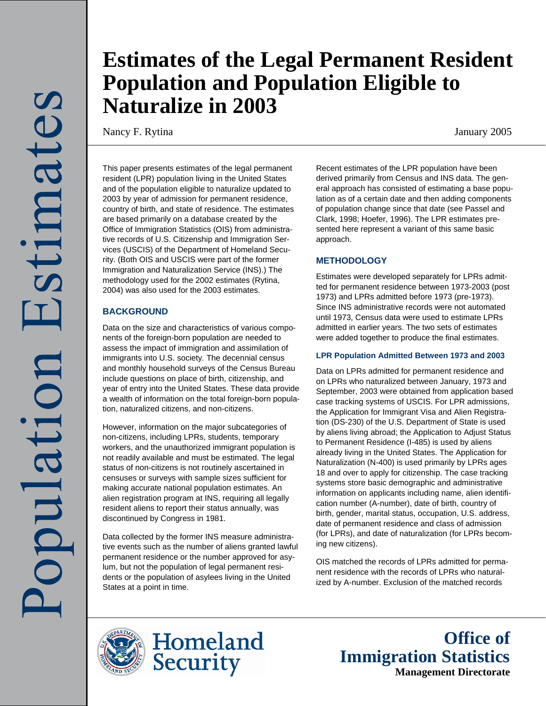# **Estimates of the Legal Permanent Resident Population and Population Eligible to Naturalize in 2003**

Nancy F. Rytina January 2005

This paper presents estimates of the legal permanent resident (LPR) population living in the United States and of the population eligible to naturalize updated to 2003 by year of admission for permanent residence, country of birth, and state of residence. The estimates are based primarily on a database created by the Office of Immigration Statistics (OIS) from administrative records of U.S. Citizenship and Immigration Services (USCIS) of the Department of Homeland Security. (Both OIS and USCIS were part of the former Immigration and Naturalization Service (INS).) The methodology used for the 2002 estimates (Rytina, 2004) was also used for the 2003 estimates.

# **BACKGROUND**

Data on the size and characteristics of various components of the foreign-born population are needed to assess the impact of immigration and assimilation of immigrants into U.S. society. The decennial census and monthly household surveys of the Census Bureau include questions on place of birth, citizenship, and year of entry into the United States. These data provide a wealth of information on the total foreign-born population, naturalized citizens, and non-citizens.

However, information on the major subcategories of non-citizens, including LPRs, students, temporary workers, and the unauthorized immigrant population is not readily available and must be estimated. The legal status of non-citizens is not routinely ascertained in censuses or surveys with sample sizes sufficient for making accurate national population estimates. An alien registration program at INS, requiring all legally resident aliens to report their status annually, was discontinued by Congress in 1981.

Data collected by the former INS measure administrative events such as the number of aliens granted lawful permanent residence or the number approved for asylum, but not the population of legal permanent residents or the population of asylees living in the United States at a point in time.

Recent estimates of the LPR population have been derived primarily from Census and INS data. The general approach has consisted of estimating a base population as of a certain date and then adding components of population change since that date (see Passel and Clark, 1998; Hoefer, 1996). The LPR estimates presented here represent a variant of this same basic approach.

# **METHODOLOGY**

Estimates were developed separately for LPRs admitted for permanent residence between 1973-2003 (post 1973) and LPRs admitted before 1973 (pre-1973). Since INS administrative records were not automated until 1973, Census data were used to estimate LPRs admitted in earlier years. The two sets of estimates were added together to produce the final estimates.

# **LPR Population Admitted Between 1973 and 2003**

Data on LPRs admitted for permanent residence and on LPRs who naturalized between January, 1973 and September, 2003 were obtained from application based case tracking systems of USCIS. For LPR admissions, the Application for Immigrant Visa and Alien Registration (DS-230) of the U.S. Department of State is used by aliens living abroad; the Application to Adjust Status to Permanent Residence (I-485) is used by aliens already living in the United States. The Application for Naturalization (N-400) is used primarily by LPRs ages 18 and over to apply for citizenship. The case tracking systems store basic demographic and administrative information on applicants including name, alien identification number (A-number), date of birth, country of birth, gender, marital status, occupation, U.S. address, date of permanent residence and class of admission (for LPRs), and date of naturalization (for LPRs becoming new citizens).

OIS matched the records of LPRs admitted for permanent residence with the records of LPRs who naturalized by A-number. Exclusion of the matched records





**Office of Immigration Statistics Management Directorate**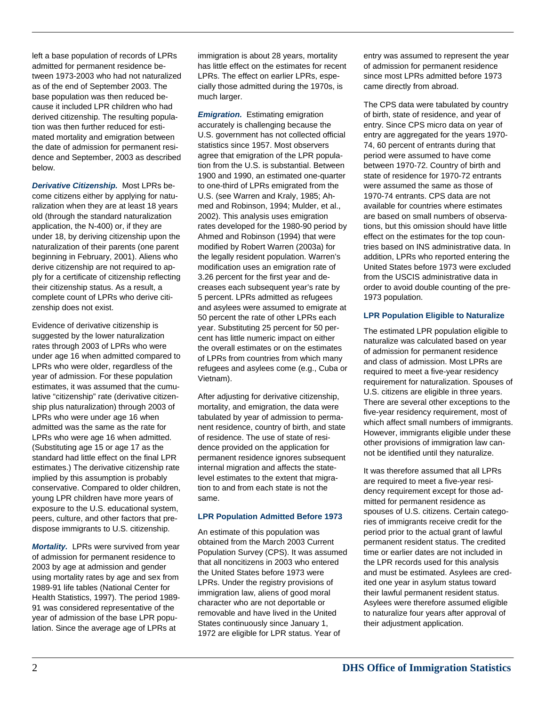left a base population of records of LPRs admitted for permanent residence between 1973-2003 who had not naturalized as of the end of September 2003. The base population was then reduced because it included LPR children who had derived citizenship. The resulting population was then further reduced for estimated mortality and emigration between the date of admission for permanent residence and September, 2003 as described below.

*Derivative Citizenship.* Most LPRs become citizens either by applying for naturalization when they are at least 18 years old (through the standard naturalization application, the N-400) or, if they are under 18, by deriving citizenship upon the naturalization of their parents (one parent beginning in February, 2001). Aliens who derive citizenship are not required to apply for a certificate of citizenship reflecting their citizenship status. As a result, a complete count of LPRs who derive citizenship does not exist.

Evidence of derivative citizenship is suggested by the lower naturalization rates through 2003 of LPRs who were under age 16 when admitted compared to LPRs who were older, regardless of the year of admission. For these population estimates, it was assumed that the cumulative "citizenship" rate (derivative citizenship plus naturalization) through 2003 of LPRs who were under age 16 when admitted was the same as the rate for LPRs who were age 16 when admitted. (Substituting age 15 or age 17 as the standard had little effect on the final LPR estimates.) The derivative citizenship rate implied by this assumption is probably conservative. Compared to older children, young LPR children have more years of exposure to the U.S. educational system, peers, culture, and other factors that predispose immigrants to U.S. citizenship.

*Mortality.* LPRs were survived from year of admission for permanent residence to 2003 by age at admission and gender using mortality rates by age and sex from 1989-91 life tables (National Center for Health Statistics, 1997). The period 1989- 91 was considered representative of the year of admission of the base LPR population. Since the average age of LPRs at

immigration is about 28 years, mortality has little effect on the estimates for recent LPRs. The effect on earlier LPRs, especially those admitted during the 1970s, is much larger.

*Emigration.* Estimating emigration accurately is challenging because the U.S. government has not collected official statistics since 1957. Most observers agree that emigration of the LPR population from the U.S. is substantial. Between 1900 and 1990, an estimated one-quarter to one-third of LPRs emigrated from the U.S. (see Warren and Kraly, 1985; Ahmed and Robinson, 1994; Mulder, et al., 2002). This analysis uses emigration rates developed for the 1980-90 period by Ahmed and Robinson (1994) that were modified by Robert Warren (2003a) for the legally resident population. Warren's modification uses an emigration rate of 3.26 percent for the first year and decreases each subsequent year's rate by 5 percent. LPRs admitted as refugees and asylees were assumed to emigrate at 50 percent the rate of other LPRs each year. Substituting 25 percent for 50 percent has little numeric impact on either the overall estimates or on the estimates of LPRs from countries from which many refugees and asylees come (e.g., Cuba or Vietnam).

After adjusting for derivative citizenship, mortality, and emigration, the data were tabulated by year of admission to permanent residence, country of birth, and state of residence. The use of state of residence provided on the application for permanent residence ignores subsequent internal migration and affects the statelevel estimates to the extent that migration to and from each state is not the same.

## **LPR Population Admitted Before 1973**

An estimate of this population was obtained from the March 2003 Current Population Survey (CPS). It was assumed that all noncitizens in 2003 who entered the United States before 1973 were LPRs. Under the registry provisions of immigration law, aliens of good moral character who are not deportable or removable and have lived in the United States continuously since January 1, 1972 are eligible for LPR status. Year of

entry was assumed to represent the year of admission for permanent residence since most LPRs admitted before 1973 came directly from abroad.

The CPS data were tabulated by country of birth, state of residence, and year of entry. Since CPS micro data on year of entry are aggregated for the years 1970- 74, 60 percent of entrants during that period were assumed to have come between 1970-72. Country of birth and state of residence for 1970-72 entrants were assumed the same as those of 1970-74 entrants. CPS data are not available for countries where estimates are based on small numbers of observations, but this omission should have little effect on the estimates for the top countries based on INS administrative data. In addition, LPRs who reported entering the United States before 1973 were excluded from the USCIS administrative data in order to avoid double counting of the pre-1973 population.

# **LPR Population Eligible to Naturalize**

The estimated LPR population eligible to naturalize was calculated based on year of admission for permanent residence and class of admission. Most LPRs are required to meet a five-year residency requirement for naturalization. Spouses of U.S. citizens are eligible in three years. There are several other exceptions to the five-year residency requirement, most of which affect small numbers of immigrants. However, immigrants eligible under these other provisions of immigration law cannot be identified until they naturalize.

It was therefore assumed that all LPRs are required to meet a five-year residency requirement except for those admitted for permanent residence as spouses of U.S. citizens. Certain categories of immigrants receive credit for the period prior to the actual grant of lawful permanent resident status. The credited time or earlier dates are not included in the LPR records used for this analysis and must be estimated. Asylees are credited one year in asylum status toward their lawful permanent resident status. Asylees were therefore assumed eligible to naturalize four years after approval of their adjustment application.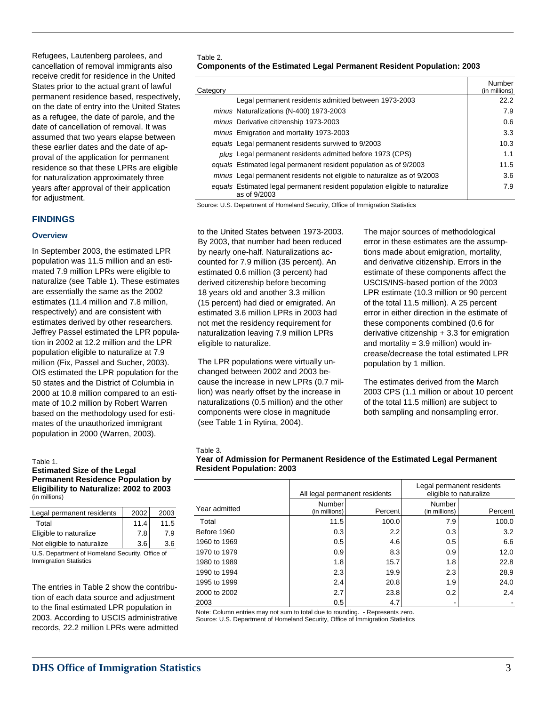Refugees, Lautenberg parolees, and cancellation of removal immigrants also receive credit for residence in the United States prior to the actual grant of lawful permanent residence based, respectively, on the date of entry into the United States as a refugee, the date of parole, and the date of cancellation of removal. It was assumed that two years elapse between these earlier dates and the date of approval of the application for permanent residence so that these LPRs are eligible for naturalization approximately three years after approval of their application for adjustment.

## **FINDINGS**

## **Overview**

In September 2003, the estimated LPR population was 11.5 million and an estimated 7.9 million LPRs were eligible to naturalize (see Table 1). These estimates are essentially the same as the 2002 estimates (11.4 million and 7.8 million, respectively) and are consistent with estimates derived by other researchers. Jeffrey Passel estimated the LPR population in 2002 at 12.2 million and the LPR population eligible to naturalize at 7.9 million (Fix, Passel and Sucher, 2003). OIS estimated the LPR population for the 50 states and the District of Columbia in 2000 at 10.8 million compared to an estimate of 10.2 million by Robert Warren based on the methodology used for estimates of the unauthorized immigrant population in 2000 (Warren, 2003).

#### Table 1.

#### **Estimated Size of the Legal Permanent Residence Population by Eligibility to Naturalize: 2002 to 2003**  (in millions)

| Legal permanent residents  | 2002 | 2003 |
|----------------------------|------|------|
| Total                      | 11.4 | 11.5 |
| Eligible to naturalize     | 7.81 | 7.9  |
| Not eligible to naturalize | 3.6  | 3.6  |
|                            |      |      |

U.S. Department of Homeland Security, Office of Immigration Statistics

The entries in Table 2 show the contribution of each data source and adjustment to the final estimated LPR population in 2003. According to USCIS administrative records, 22.2 million LPRs were admitted

#### Table 2.

| <b>Components of the Estimated Legal Permanent Resident Population: 2003</b> |
|------------------------------------------------------------------------------|
|------------------------------------------------------------------------------|

| Category |                                                                                             | Number<br>(in millions) |
|----------|---------------------------------------------------------------------------------------------|-------------------------|
|          | Legal permanent residents admitted between 1973-2003                                        | 22.2                    |
|          | minus Naturalizations (N-400) 1973-2003                                                     | 7.9                     |
|          | minus Derivative citizenship 1973-2003                                                      | 0.6                     |
|          | minus Emigration and mortality 1973-2003                                                    | 3.3                     |
|          | equals Legal permanent residents survived to 9/2003                                         | 10.3                    |
|          | plus Legal permanent residents admitted before 1973 (CPS)                                   | 1.1                     |
|          | equals Estimated legal permanent resident population as of 9/2003                           | 11.5                    |
|          | minus Legal permanent residents not eligible to naturalize as of 9/2003                     | 3.6                     |
|          | equals Estimated legal permanent resident population eligible to naturalize<br>as of 9/2003 | 7.9                     |

Source: U.S. Department of Homeland Security, Office of Immigration Statistics

to the United States between 1973-2003. By 2003, that number had been reduced by nearly one-half. Naturalizations accounted for 7.9 million (35 percent). An estimated 0.6 million (3 percent) had derived citizenship before becoming 18 years old and another 3.3 million (15 percent) had died or emigrated. An estimated 3.6 million LPRs in 2003 had not met the residency requirement for naturalization leaving 7.9 million LPRs eligible to naturalize.

The LPR populations were virtually unchanged between 2002 and 2003 because the increase in new LPRs (0.7 million) was nearly offset by the increase in naturalizations (0.5 million) and the other components were close in magnitude (see Table 1 in Rytina, 2004).

The major sources of methodological error in these estimates are the assumptions made about emigration, mortality, and derivative citizenship. Errors in the estimate of these components affect the USCIS/INS-based portion of the 2003 LPR estimate (10.3 million or 90 percent of the total 11.5 million). A 25 percent error in either direction in the estimate of these components combined (0.6 for derivative citizenship + 3.3 for emigration and mortality  $= 3.9$  million) would increase/decrease the total estimated LPR population by 1 million.

The estimates derived from the March 2003 CPS (1.1 million or about 10 percent of the total 11.5 million) are subject to both sampling and nonsampling error.

#### Table 3.

| Year of Admission for Permanent Residence of the Estimated Legal Permanent |
|----------------------------------------------------------------------------|
| <b>Resident Population: 2003</b>                                           |

|               |                         | All legal permanent residents |                          | Legal permanent residents<br>eligible to naturalize |  |
|---------------|-------------------------|-------------------------------|--------------------------|-----------------------------------------------------|--|
| Year admitted | Number<br>(in millions) | Percent                       | Number<br>(in millions)  | Percent                                             |  |
| Total         | 11.5                    | 100.0                         | 7.9                      | 100.0                                               |  |
| Before 1960   | 0.3                     | 2.2                           | 0.3                      | 3.2                                                 |  |
| 1960 to 1969  | 0.5                     | 4.6                           | 0.5                      | 6.6                                                 |  |
| 1970 to 1979  | 0.9                     | 8.3                           | 0.9                      | 12.0                                                |  |
| 1980 to 1989  | 1.8                     | 15.7                          | 1.8                      | 22.8                                                |  |
| 1990 to 1994  | 2.3                     | 19.9                          | 2.3                      | 28.9                                                |  |
| 1995 to 1999  | 2.4                     | 20.8                          | 1.9                      | 24.0                                                |  |
| 2000 to 2002  | 2.7                     | 23.8                          | 0.2                      | 2.4                                                 |  |
| 2003          | 0.5                     | 4.7                           | $\overline{\phantom{0}}$ |                                                     |  |

Note: Column entries may not sum to total due to rounding. - Represents zero.

Source: U.S. Department of Homeland Security, Office of Immigration Statistics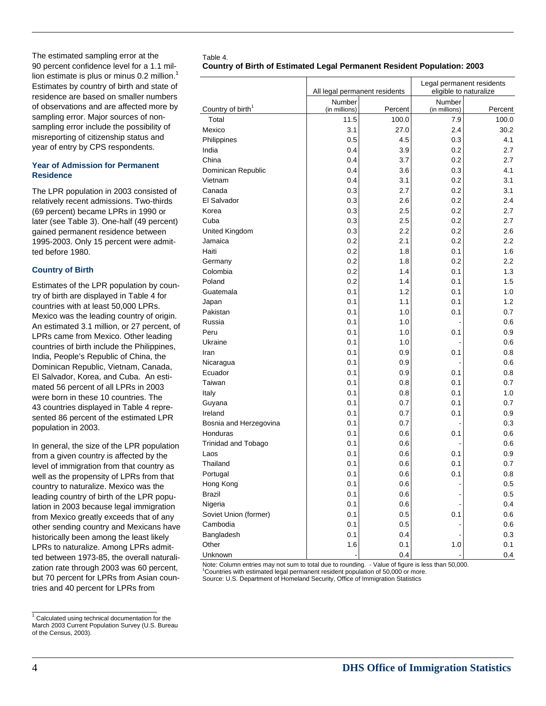The estimated sampling error at the 90 percent confidence level for a 1.1 million estimate is plus or minus  $0.2$  million.<sup>1</sup> Estimates by country of birth and state of residence are based on smaller numbers of observations and are affected more by sampling error. Major sources of nonsampling error include the possibility of misreporting of citizenship status and year of entry by CPS respondents.

## **Year of Admission for Permanent Residence**

The LPR population in 2003 consisted of relatively recent admissions. Two-thirds (69 percent) became LPRs in 1990 or later (see Table 3). One-half (49 percent) gained permanent residence between 1995-2003. Only 15 percent were admitted before 1980.

# **Country of Birth**

Estimates of the LPR population by country of birth are displayed in Table 4 for countries with at least 50,000 LPRs. Mexico was the leading country of origin. An estimated 3.1 million, or 27 percent, of LPRs came from Mexico. Other leading countries of birth include the Philippines, India, People's Republic of China, the Dominican Republic, Vietnam, Canada, El Salvador, Korea, and Cuba. An estimated 56 percent of all LPRs in 2003 were born in these 10 countries. The 43 countries displayed in Table 4 represented 86 percent of the estimated LPR population in 2003.

In general, the size of the LPR population from a given country is affected by the level of immigration from that country as well as the propensity of LPRs from that country to naturalize. Mexico was the leading country of birth of the LPR population in 2003 because legal immigration from Mexico greatly exceeds that of any other sending country and Mexicans have historically been among the least likely LPRs to naturalize. Among LPRs admitted between 1973-85, the overall naturalization rate through 2003 was 60 percent, but 70 percent for LPRs from Asian countries and 40 percent for LPRs from

#### Table 4. **Country of Birth of Estimated Legal Permanent Resident Population: 2003**

|                               | All legal permanent residents |         | Legal permanent residents<br>eligible to naturalize |         |
|-------------------------------|-------------------------------|---------|-----------------------------------------------------|---------|
|                               | Number                        |         | Number                                              |         |
| Country of birth <sup>1</sup> | (in millions)                 | Percent | (in millions)                                       | Percent |
| Total                         | 11.5                          | 100.0   | 7.9                                                 | 100.0   |
| Mexico                        | 3.1                           | 27.0    | 2.4                                                 | 30.2    |
| Philippines                   | 0.5                           | 4.5     | 0.3                                                 | 4.1     |
| India                         | 0.4                           | 3.9     | 0.2                                                 | 2.7     |
| China                         | 0.4                           | 3.7     | 0.2                                                 | 2.7     |
| Dominican Republic            | 0.4                           | 3.6     | 0.3                                                 | 4.1     |
| Vietnam                       | 0.4                           | 3.1     | 0.2                                                 | 3.1     |
| Canada                        | 0.3                           | 2.7     | 0.2                                                 | 3.1     |
| El Salvador                   | 0.3                           | 2.6     | 0.2                                                 | 2.4     |
| Korea                         | 0.3                           | 2.5     | 0.2                                                 | 2.7     |
| Cuba                          | 0.3                           | 2.5     | 0.2                                                 | 2.7     |
| United Kingdom                | 0.3                           | 2.2     | 0.2                                                 | 2.6     |
| Jamaica                       | 0.2                           | 2.1     | 0.2                                                 | 2.2     |
| Haiti                         | 0.2                           | 1.8     | 0.1                                                 | 1.6     |
| Germany                       | 0.2                           | 1.8     | 0.2                                                 | 2.2     |
| Colombia                      | 0.2                           | 1.4     | 0.1                                                 | 1.3     |
| Poland                        | 0.2                           | 1.4     | 0.1                                                 | 1.5     |
| Guatemala                     | 0.1                           | 1.2     | 0.1                                                 | 1.0     |
| Japan                         | 0.1                           | 1.1     | 0.1                                                 | 1.2     |
| Pakistan                      | 0.1                           | 1.0     | 0.1                                                 | 0.7     |
| Russia                        | 0.1                           | 1.0     |                                                     | 0.6     |
| Peru                          | 0.1                           | 1.0     | 0.1                                                 | 0.9     |
| Ukraine                       | 0.1                           | 1.0     |                                                     | 0.6     |
| Iran                          | 0.1                           | 0.9     | 0.1                                                 | 0.8     |
| Nicaragua                     | 0.1                           | 0.9     |                                                     | 0.6     |
| Ecuador                       | 0.1                           | 0.9     | 0.1                                                 | 0.8     |
| Taiwan                        | 0.1                           | 0.8     | 0.1                                                 | 0.7     |
| Italy                         | 0.1                           | 0.8     | 0.1                                                 | 1.0     |
| Guyana                        | 0.1                           | 0.7     | 0.1                                                 | 0.7     |
| Ireland                       | 0.1                           | 0.7     | 0.1                                                 | 0.9     |
| Bosnia and Herzegovina        | 0.1                           | 0.7     |                                                     | 0.3     |
| Honduras                      | 0.1                           | 0.6     | 0.1                                                 | 0.6     |
| Trinidad and Tobago           | 0.1                           | 0.6     |                                                     | 0.6     |
| Laos                          | 0.1                           | 0.6     | 0.1                                                 | 0.9     |
| Thailand                      | 0.1                           | 0.6     | 0.1                                                 | 0.7     |
| Portugal                      | 0.1                           | 0.6     | 0.1                                                 | $0.8\,$ |
| Hong Kong                     | 0.1                           | 0.6     |                                                     | 0.5     |
| <b>Brazil</b>                 | 0.1                           | 0.6     |                                                     | 0.5     |
| Nigeria                       | 0.1                           | 0.6     |                                                     | 0.4     |
| Soviet Union (former)         | 0.1                           | 0.5     | 0.1                                                 | 0.6     |
| Cambodia                      | 0.1                           | 0.5     |                                                     | 0.6     |
| Bangladesh                    | 0.1                           | 0.4     |                                                     | 0.3     |
| Other                         | 1.6                           | 0.1     | 1.0                                                 | 0.1     |
| Unknown                       |                               | 0.4     |                                                     | 0.4     |
|                               |                               |         |                                                     |         |

Note: Column entries may not sum to total due to rounding. - Value of figure is less than 50,000.

<sup>1</sup>Countries with estimated legal permanent resident population of 50,000 or more.

Source: U.S. Department of Homeland Security, Office of Immigration Statistics

To the documentation of the documentation for the 1 Calculated using technical documentation for the March 2003 Current Population Survey (U.S. Bureau of the Census, 2003).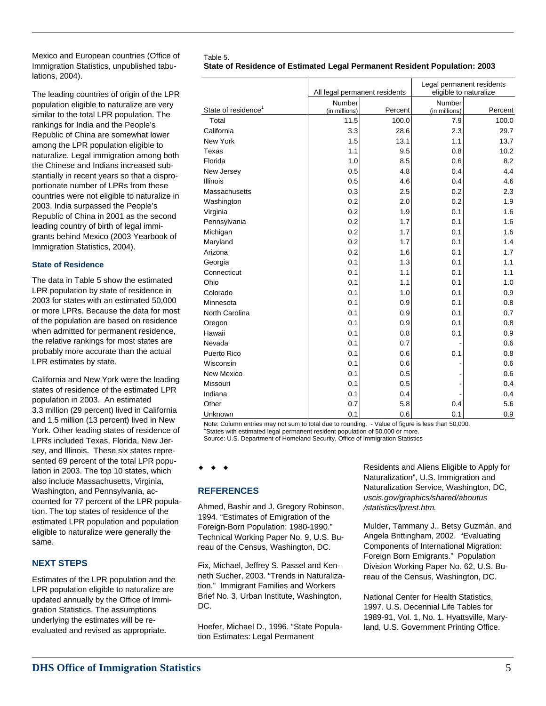Mexico and European countries (Office of Immigration Statistics, unpublished tabulations, 2004).

The leading countries of origin of the LPR population eligible to naturalize are very similar to the total LPR population. The rankings for India and the People's Republic of China are somewhat lower among the LPR population eligible to naturalize. Legal immigration among both the Chinese and Indians increased substantially in recent years so that a disproportionate number of LPRs from these countries were not eligible to naturalize in 2003. India surpassed the People's Republic of China in 2001 as the second leading country of birth of legal immigrants behind Mexico (2003 Yearbook of Immigration Statistics, 2004).

## **State of Residence**

The data in Table 5 show the estimated LPR population by state of residence in 2003 for states with an estimated 50,000 or more LPRs. Because the data for most of the population are based on residence when admitted for permanent residence, the relative rankings for most states are probably more accurate than the actual LPR estimates by state.

California and New York were the leading states of residence of the estimated LPR population in 2003. An estimated 3.3 million (29 percent) lived in California and 1.5 million (13 percent) lived in New York. Other leading states of residence of LPRs included Texas, Florida, New Jersey, and Illinois. These six states represented 69 percent of the total LPR population in 2003. The top 10 states, which also include Massachusetts, Virginia, Washington, and Pennsylvania, accounted for 77 percent of the LPR population. The top states of residence of the estimated LPR population and population eligible to naturalize were generally the same.

# **NEXT STEPS**

Estimates of the LPR population and the LPR population eligible to naturalize are updated annually by the Office of Immigration Statistics. The assumptions underlying the estimates will be reevaluated and revised as appropriate.

#### Table 5. **State of Residence of Estimated Legal Permanent Resident Population: 2003**

|                                 | All legal permanent residents |         | Legal permanent residents<br>eligible to naturalize |         |
|---------------------------------|-------------------------------|---------|-----------------------------------------------------|---------|
|                                 | <b>Number</b>                 |         | <b>Number</b>                                       |         |
| State of residence <sup>1</sup> | (in millions)                 | Percent | (in millions)                                       | Percent |
| Total                           | 11.5                          | 100.0   | 7.9                                                 | 100.0   |
| California                      | 3.3                           | 28.6    | 2.3                                                 | 29.7    |
| New York                        | 1.5                           | 13.1    | 1.1                                                 | 13.7    |
| Texas                           | 1.1                           | 9.5     | 0.8                                                 | 10.2    |
| Florida                         | 1.0                           | 8.5     | 0.6                                                 | 8.2     |
| New Jersey                      | 0.5                           | 4.8     | 0.4                                                 | 4.4     |
| Illinois                        | 0.5                           | 4.6     | 0.4                                                 | 4.6     |
| Massachusetts                   | 0.3                           | 2.5     | 0.2                                                 | 2.3     |
| Washington                      | 0.2                           | 2.0     | 0.2                                                 | 1.9     |
| Virginia                        | 0.2                           | 1.9     | 0.1                                                 | 1.6     |
| Pennsylvania                    | 0.2                           | 1.7     | 0.1                                                 | 1.6     |
| Michigan                        | 0.2                           | 1.7     | 0.1                                                 | 1.6     |
| Maryland                        | 0.2                           | 1.7     | 0.1                                                 | 1.4     |
| Arizona                         | 0.2                           | 1.6     | 0.1                                                 | 1.7     |
| Georgia                         | 0.1                           | 1.3     | 0.1                                                 | 1.1     |
| Connecticut                     | 0.1                           | 1.1     | 0.1                                                 | 1.1     |
| Ohio                            | 0.1                           | 1.1     | 0.1                                                 | 1.0     |
| Colorado                        | 0.1                           | 1.0     | 0.1                                                 | 0.9     |
| Minnesota                       | 0.1                           | 0.9     | 0.1                                                 | 0.8     |
| North Carolina                  | 0.1                           | 0.9     | 0.1                                                 | 0.7     |
| Oregon                          | 0.1                           | 0.9     | 0.1                                                 | 0.8     |
| Hawaii                          | 0.1                           | 0.8     | 0.1                                                 | 0.9     |
| Nevada                          | 0.1                           | 0.7     |                                                     | 0.6     |
| Puerto Rico                     | 0.1                           | 0.6     | 0.1                                                 | 0.8     |
| Wisconsin                       | 0.1                           | 0.6     |                                                     | 0.6     |
| New Mexico                      | 0.1                           | 0.5     |                                                     | 0.6     |
| Missouri                        | 0.1                           | 0.5     |                                                     | 0.4     |
| Indiana                         | 0.1                           | 0.4     |                                                     | 0.4     |
| Other                           | 0.7                           | 5.8     | 0.4                                                 | 5.6     |
| Unknown                         | 0.1                           | 0.6     | 0.1                                                 | 0.9     |

Note: Column entries may not sum to total due to rounding. - Value of figure is less than 50,000. States with estimated legal permanent resident population of 50,000 or more. Source: U.S. Department of Homeland Security, Office of Immigration Statistics

## $\bullet$

# **REFERENCES**

Ahmed, Bashir and J. Gregory Robinson, 1994. "Estimates of Emigration of the Foreign-Born Population: 1980-1990." Technical Working Paper No. 9, U.S. Bureau of the Census, Washington, DC.

Fix, Michael, Jeffrey S. Passel and Kenneth Sucher, 2003. "Trends in Naturalization." Immigrant Families and Workers Brief No. 3, Urban Institute, Washington, DC.

Hoefer, Michael D., 1996. "State Population Estimates: Legal Permanent

Residents and Aliens Eligible to Apply for Naturalization", U.S. Immigration and Naturalization Service, Washington, DC, *uscis.gov/graphics/shared/aboutus /statistics/lprest.htm.*

Mulder, Tammany J., Betsy Guzmán, and Angela Brittingham, 2002. "Evaluating Components of International Migration: Foreign Born Emigrants." Population Division Working Paper No. 62, U.S. Bureau of the Census, Washington, DC.

National Center for Health Statistics, 1997. U.S. Decennial Life Tables for 1989-91, Vol. 1, No. 1. Hyattsville, Maryland, U.S. Government Printing Office.